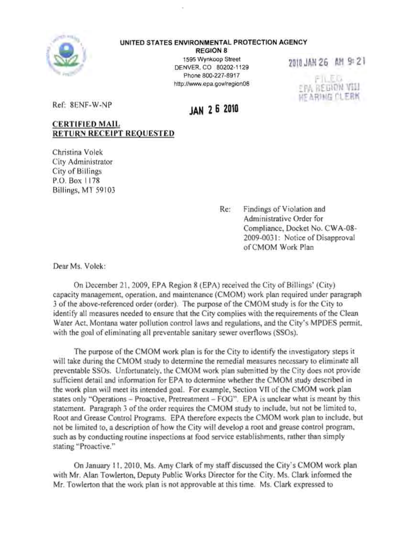

## UNITED STATES ENVIRONMENTAL PROTECTION AGENCY

**REGION 8** 1595 Wynkoop Street DENVER, CO 80202-1129 Phone 800-227-8917 http://www.epa.gov/region08

2010JAN26 AM 9:2\

r I'\_EJJ EPA REGION '1111 ::ARIIlG fLERK

Ref: 8ENF-W-NP

## **JAN 26 <sup>2010</sup>**

## CERTIFIED MAIL RETURN RECEIPT REQUESTED

Christina Volek City Administrator City of Billings P.O. Box 1178 Billings, MT 59103

> Re: Findings of Violation and Administrative Order for Compliance, Docket No. CWA-08- 2009-0031: Notice of Disapproval ofCMOM Work Plan

Dear Ms. Volek:

On December 21,2009, EPA Region 8 (EPA) received the City of Billings' (City) capacity management, operation. and maintenance (CMOM) work plan required under paragraph 3 of the above-referenced order (order). The purpose of the CMOM study is for the City to identify all measures needed to ensure that the City complies with the requirements of the Clean Water Act, Montana water pollution control laws and regulations, and the City's MPDES permit, with the goal of eliminating all preventable sanitary sewer overflows (SSOs).

The purpose of the CMOM work plan is for the City to identify the investigatory steps it will take during the CMOM study to determine the remedial measures necessary to eliminate all preventable SSOs. Unfortunately, the CMOM work plan submitted by the City does not provide sufficient detail and information for EPA to determine whether the CMOM study described in the work plan will meet its intended goal. For example, Section VII of the CMOM work plan states only "Operations - Proactive, Pretreatment - FOG". EPA is unclear what is meant by this statement. Paragraph 3 of the order requires the CMOM study to include, but not be limited to, Root and Grease Control Programs. EPA therefore expects the CMOM work plan to include, but not be limited to, a description of how the City will develop a root and grease control program, such as by conducting routine inspections at food service establishments, rather than simply stating "Proactive."

On January II, 20 I0, Ms. Amy Clark of my staff discussed the City's CMOM work plan with Mr. Alan Towlerton, Deputy Public Works Director for the City. Ms. Clark informed the Mr. Towlerton that the work plan is not approvable at this time, Ms. Clark expressed to